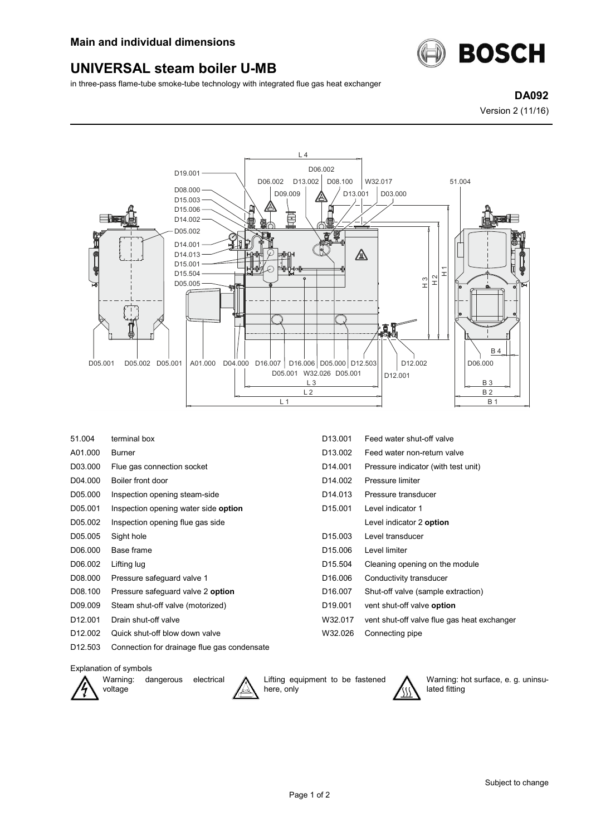

## **UNIVERSAL steam boiler U-MB**

in three-pass flame-tube smoke-tube technology with integrated flue gas heat exchanger

**DA092**

Version 2 (11/16)



| 51.004              | terminal box                                | D <sub>13</sub> ,001 | Feed water shut-off valve                   |
|---------------------|---------------------------------------------|----------------------|---------------------------------------------|
| A01.000             | <b>Burner</b>                               | D <sub>13.002</sub>  | Feed water non-return valve                 |
| D03.000             | Flue gas connection socket                  | D14.001              | Pressure indicator (with test unit)         |
| D04.000             | Boiler front door                           | D <sub>14.002</sub>  | Pressure limiter                            |
| D05.000             | Inspection opening steam-side               | D <sub>14.013</sub>  | Pressure transducer                         |
| D05.001             | Inspection opening water side option        | D <sub>15.001</sub>  | Level indicator 1                           |
| D05.002             | Inspection opening flue gas side            |                      | Level indicator 2 option                    |
| D05.005             | Sight hole                                  | D <sub>15.003</sub>  | Level transducer                            |
| D06.000             | Base frame                                  | D <sub>15.006</sub>  | Level limiter                               |
| D06.002             | Lifting lug                                 | D <sub>15.504</sub>  | Cleaning opening on the module              |
| D08.000             | Pressure safeguard valve 1                  | D <sub>16.006</sub>  | Conductivity transducer                     |
| D08.100             | Pressure safeguard valve 2 option           | D <sub>16.007</sub>  | Shut-off valve (sample extraction)          |
| D09.009             | Steam shut-off valve (motorized)            | D <sub>19.001</sub>  | vent shut-off valve option                  |
| D <sub>12.001</sub> | Drain shut-off valve                        | W32.017              | vent shut-off valve flue gas heat exchanger |
| D <sub>12.002</sub> | Quick shut-off blow down valve              | W32.026              | Connecting pipe                             |
| D <sub>12.503</sub> | Connection for drainage flue gas condensate |                      |                                             |

## Explanation of symbols



Warning: dangerous electrical voltage



Lifting equipment to be fastened here, only



Warning: hot surface, e. g. uninsulated fitting